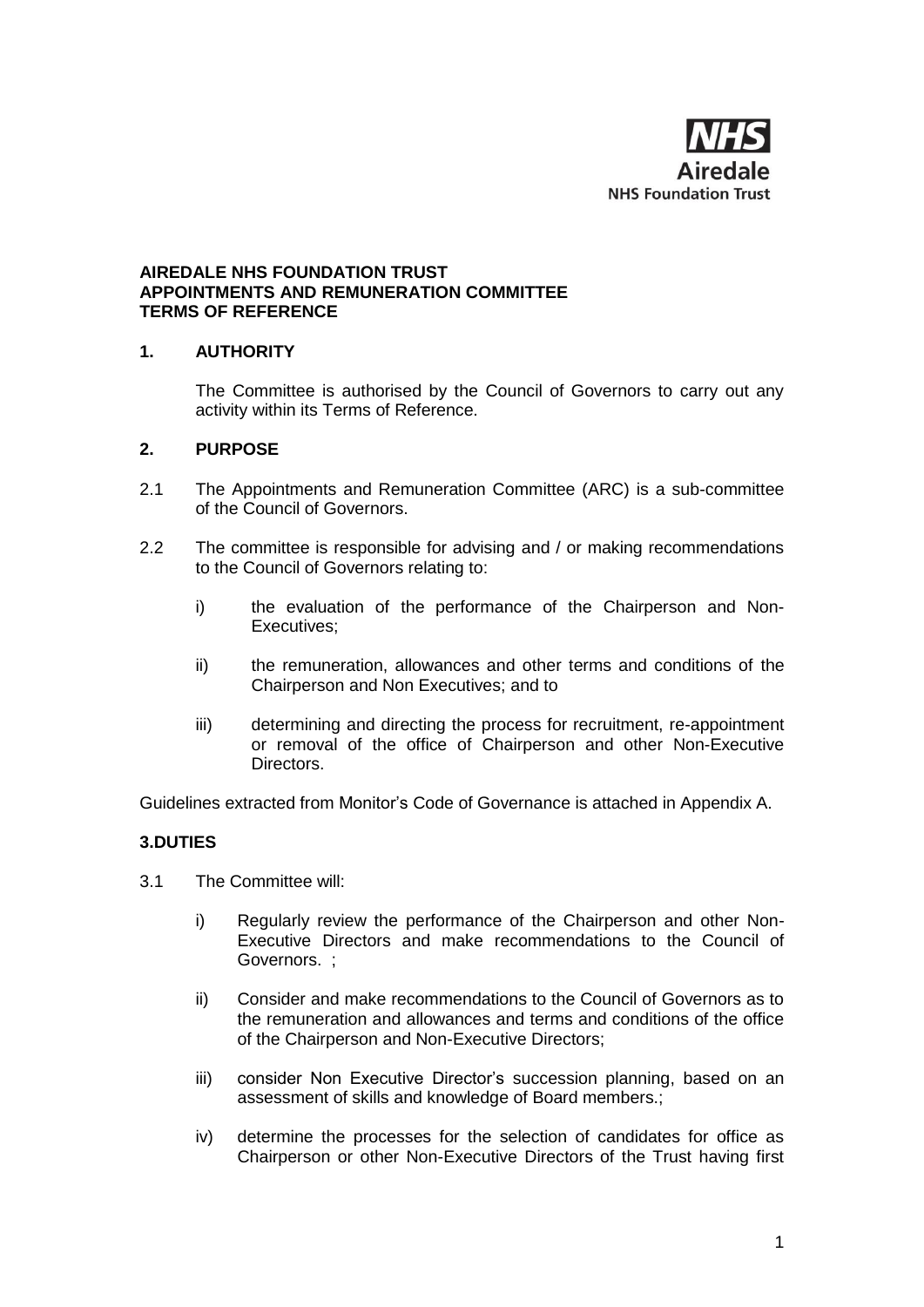

# **AIREDALE NHS FOUNDATION TRUST APPOINTMENTS AND REMUNERATION COMMITTEE TERMS OF REFERENCE**

# **1. AUTHORITY**

The Committee is authorised by the Council of Governors to carry out any activity within its Terms of Reference.

#### **2. PURPOSE**

- 2.1 The Appointments and Remuneration Committee (ARC) is a sub-committee of the Council of Governors.
- 2.2 The committee is responsible for advising and / or making recommendations to the Council of Governors relating to:
	- i) the evaluation of the performance of the Chairperson and Non-Executives;
	- ii) the remuneration, allowances and other terms and conditions of the Chairperson and Non Executives; and to
	- iii) determining and directing the process for recruitment, re-appointment or removal of the office of Chairperson and other Non-Executive **Directors**

Guidelines extracted from Monitor's Code of Governance is attached in Appendix A.

# **3.DUTIES**

- 3.1 The Committee will:
	- i) Regularly review the performance of the Chairperson and other Non-Executive Directors and make recommendations to the Council of Governors. ;
	- ii) Consider and make recommendations to the Council of Governors as to the remuneration and allowances and terms and conditions of the office of the Chairperson and Non-Executive Directors;
	- iii) consider Non Executive Director's succession planning, based on an assessment of skills and knowledge of Board members.;
	- iv) determine the processes for the selection of candidates for office as Chairperson or other Non-Executive Directors of the Trust having first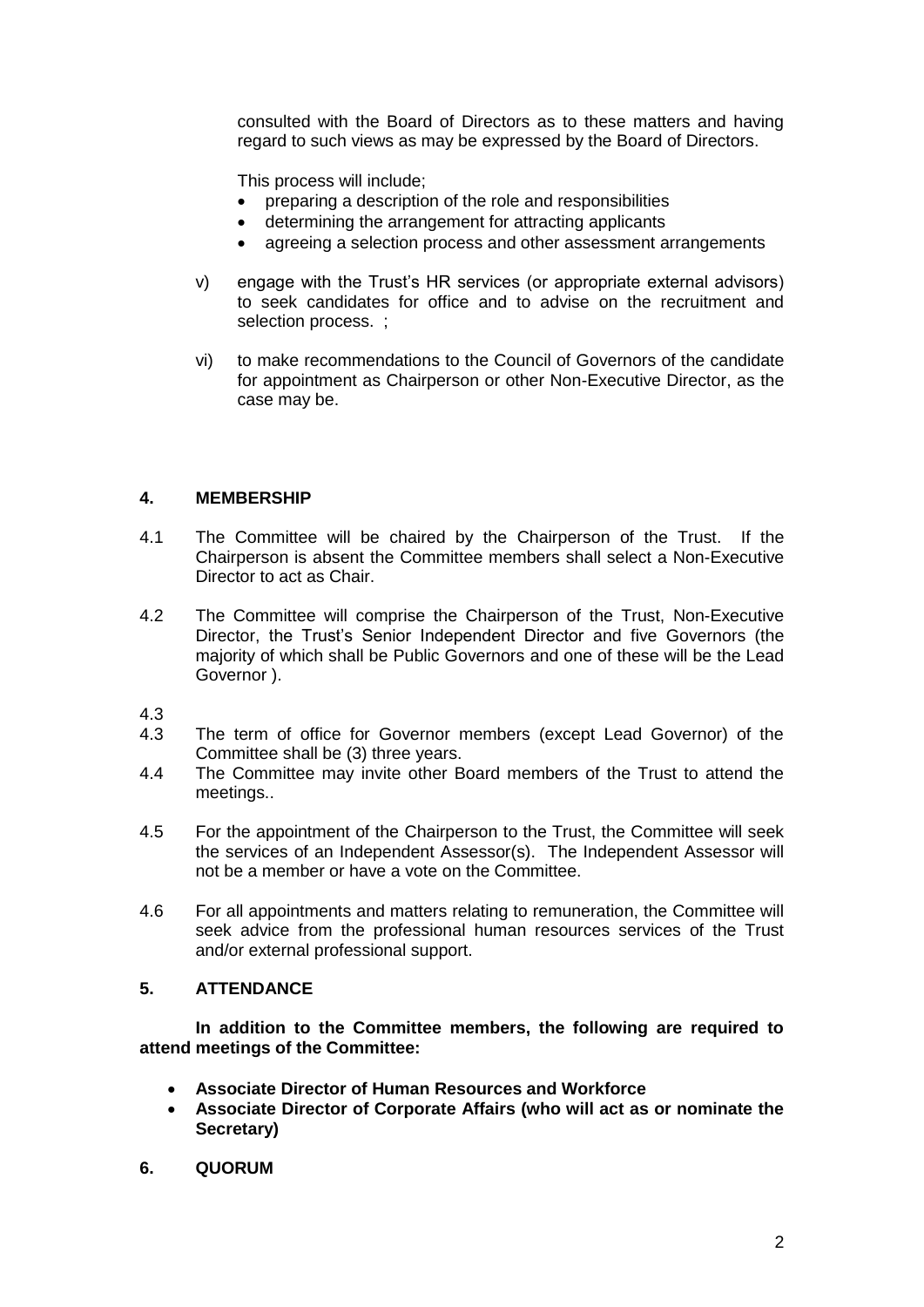consulted with the Board of Directors as to these matters and having regard to such views as may be expressed by the Board of Directors.

This process will include;

- preparing a description of the role and responsibilities
- determining the arrangement for attracting applicants
- agreeing a selection process and other assessment arrangements
- v) engage with the Trust's HR services (or appropriate external advisors) to seek candidates for office and to advise on the recruitment and selection process. :
- vi) to make recommendations to the Council of Governors of the candidate for appointment as Chairperson or other Non-Executive Director, as the case may be.

# **4. MEMBERSHIP**

- 4.1 The Committee will be chaired by the Chairperson of the Trust. If the Chairperson is absent the Committee members shall select a Non-Executive Director to act as Chair.
- 4.2 The Committee will comprise the Chairperson of the Trust, Non-Executive Director, the Trust's Senior Independent Director and five Governors (the majority of which shall be Public Governors and one of these will be the Lead Governor ).

4.3

- 4.3 The term of office for Governor members (except Lead Governor) of the Committee shall be (3) three years.
- 4.4 The Committee may invite other Board members of the Trust to attend the meetings..
- 4.5 For the appointment of the Chairperson to the Trust, the Committee will seek the services of an Independent Assessor(s). The Independent Assessor will not be a member or have a vote on the Committee.
- 4.6 For all appointments and matters relating to remuneration, the Committee will seek advice from the professional human resources services of the Trust and/or external professional support.

# **5. ATTENDANCE**

**In addition to the Committee members, the following are required to attend meetings of the Committee:**

- **Associate Director of Human Resources and Workforce**
- **Associate Director of Corporate Affairs (who will act as or nominate the Secretary)**
- **6. QUORUM**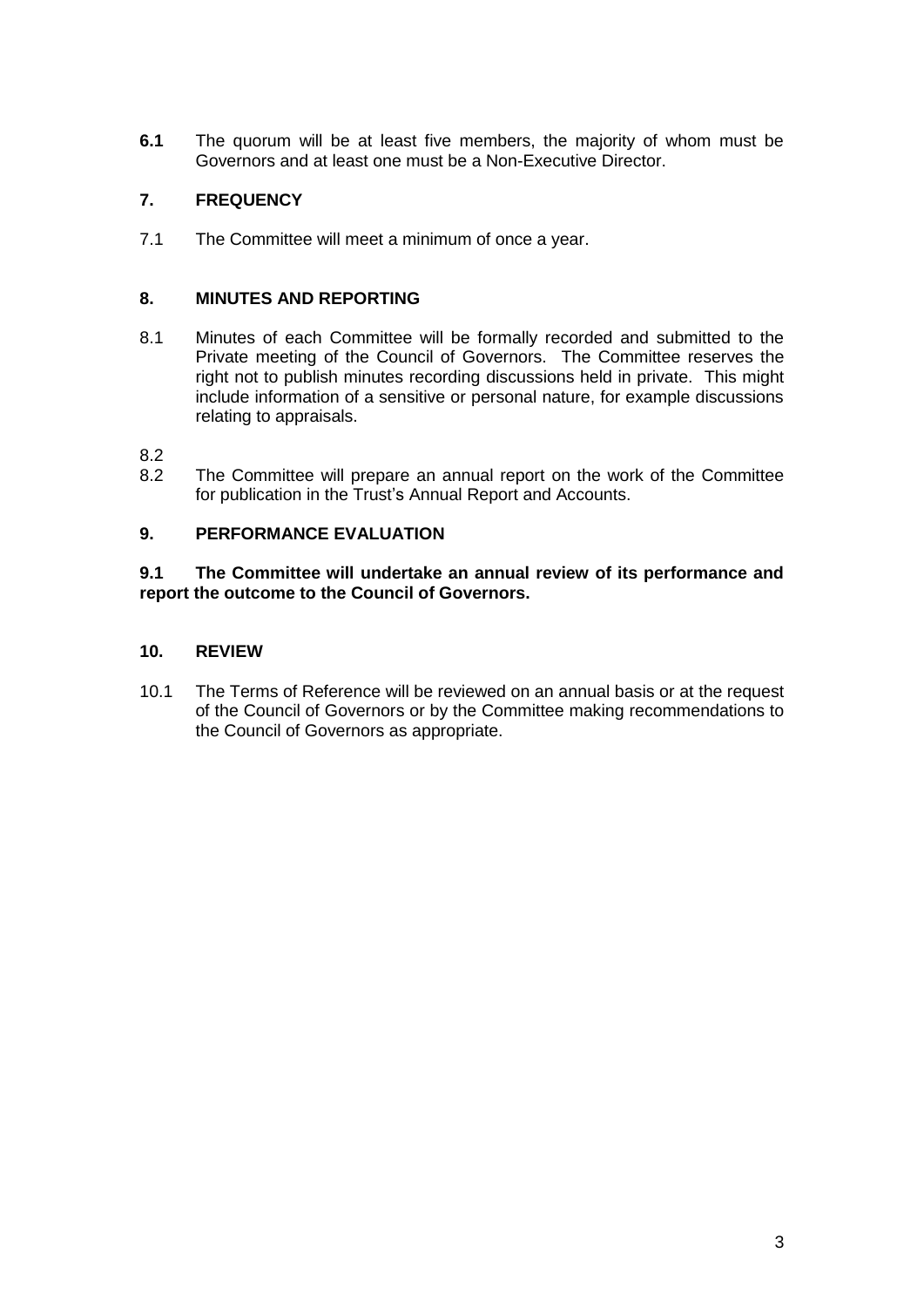**6.1** The quorum will be at least five members, the majority of whom must be Governors and at least one must be a Non-Executive Director.

# **7. FREQUENCY**

7.1 The Committee will meet a minimum of once a year.

# **8. MINUTES AND REPORTING**

8.1 Minutes of each Committee will be formally recorded and submitted to the Private meeting of the Council of Governors. The Committee reserves the right not to publish minutes recording discussions held in private. This might include information of a sensitive or personal nature, for example discussions relating to appraisals.

# 8.2

8.2 The Committee will prepare an annual report on the work of the Committee for publication in the Trust's Annual Report and Accounts.

# **9. PERFORMANCE EVALUATION**

# **9.1 The Committee will undertake an annual review of its performance and report the outcome to the Council of Governors.**

# **10. REVIEW**

10.1 The Terms of Reference will be reviewed on an annual basis or at the request of the Council of Governors or by the Committee making recommendations to the Council of Governors as appropriate.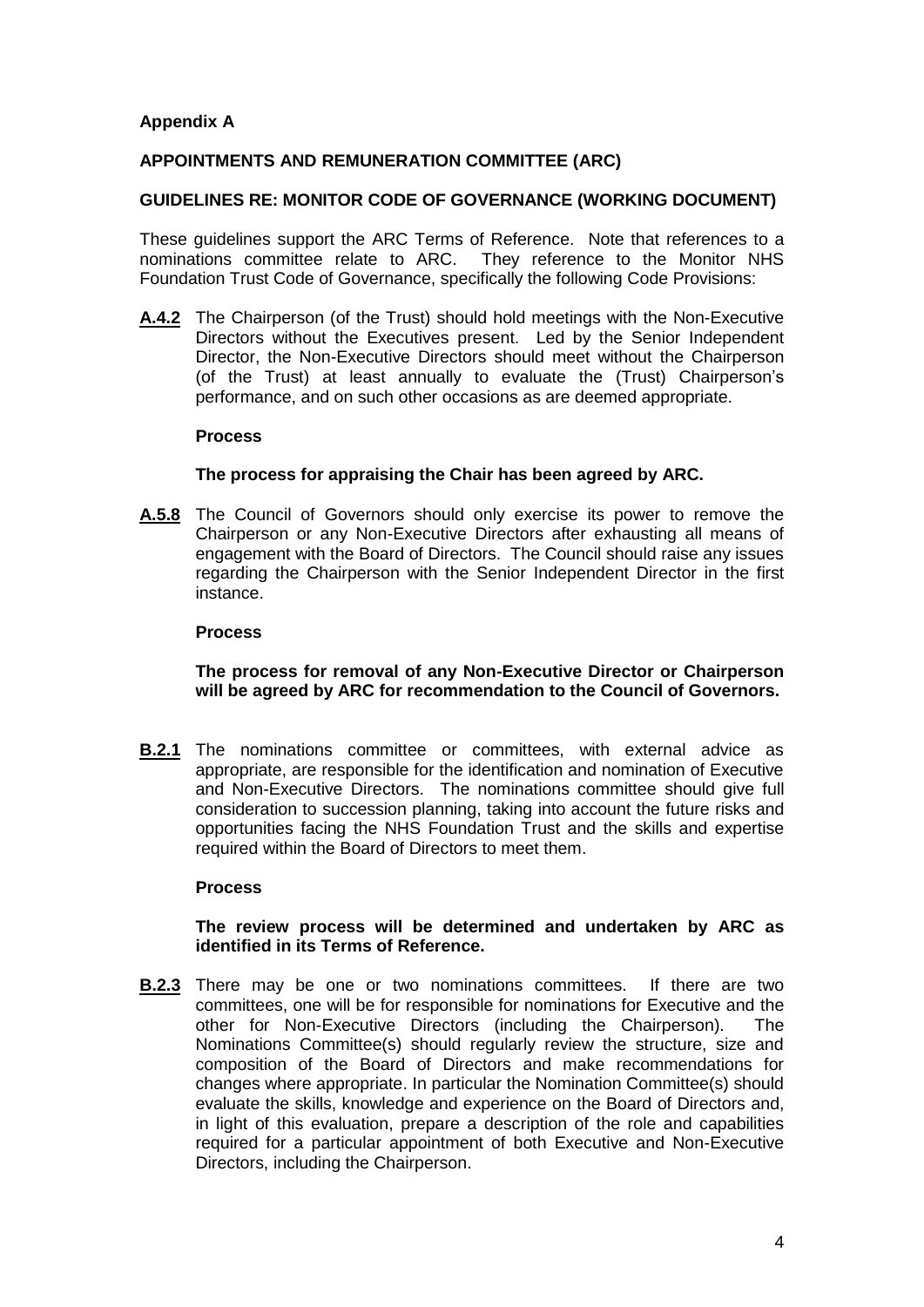# **Appendix A**

# **APPOINTMENTS AND REMUNERATION COMMITTEE (ARC)**

### **GUIDELINES RE: MONITOR CODE OF GOVERNANCE (WORKING DOCUMENT)**

These guidelines support the ARC Terms of Reference. Note that references to a nominations committee relate to ARC. They reference to the Monitor NHS Foundation Trust Code of Governance, specifically the following Code Provisions:

**A.4.2** The Chairperson (of the Trust) should hold meetings with the Non-Executive Directors without the Executives present. Led by the Senior Independent Director, the Non-Executive Directors should meet without the Chairperson (of the Trust) at least annually to evaluate the (Trust) Chairperson's performance, and on such other occasions as are deemed appropriate.

#### **Process**

# **The process for appraising the Chair has been agreed by ARC.**

**A.5.8** The Council of Governors should only exercise its power to remove the Chairperson or any Non-Executive Directors after exhausting all means of engagement with the Board of Directors. The Council should raise any issues regarding the Chairperson with the Senior Independent Director in the first instance.

# **Process**

**The process for removal of any Non-Executive Director or Chairperson will be agreed by ARC for recommendation to the Council of Governors.**

**B.2.1** The nominations committee or committees, with external advice as appropriate, are responsible for the identification and nomination of Executive and Non-Executive Directors. The nominations committee should give full consideration to succession planning, taking into account the future risks and opportunities facing the NHS Foundation Trust and the skills and expertise required within the Board of Directors to meet them.

#### **Process**

#### **The review process will be determined and undertaken by ARC as identified in its Terms of Reference.**

**B.2.3** There may be one or two nominations committees. If there are two committees, one will be for responsible for nominations for Executive and the other for Non-Executive Directors (including the Chairperson). The Nominations Committee(s) should regularly review the structure, size and composition of the Board of Directors and make recommendations for changes where appropriate. In particular the Nomination Committee(s) should evaluate the skills, knowledge and experience on the Board of Directors and, in light of this evaluation, prepare a description of the role and capabilities required for a particular appointment of both Executive and Non-Executive Directors, including the Chairperson.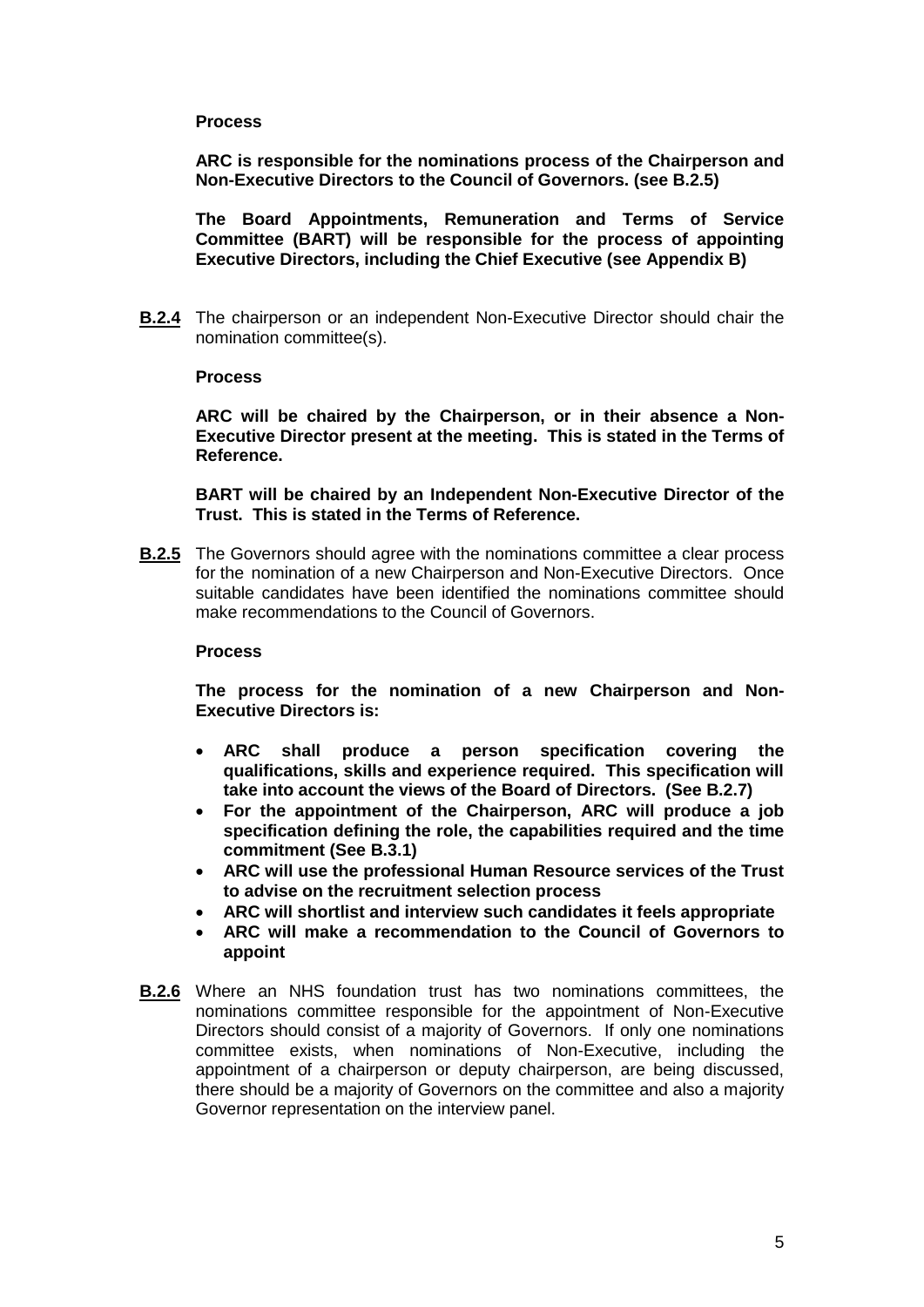### **Process**

**ARC is responsible for the nominations process of the Chairperson and Non-Executive Directors to the Council of Governors. (see B.2.5)** 

**The Board Appointments, Remuneration and Terms of Service Committee (BART) will be responsible for the process of appointing Executive Directors, including the Chief Executive (see Appendix B)**

**B.2.4** The chairperson or an independent Non-Executive Director should chair the nomination committee(s).

#### **Process**

**ARC will be chaired by the Chairperson, or in their absence a Non-Executive Director present at the meeting. This is stated in the Terms of Reference.**

**BART will be chaired by an Independent Non-Executive Director of the Trust. This is stated in the Terms of Reference.**

**B.2.5** The Governors should agree with the nominations committee a clear process for the nomination of a new Chairperson and Non-Executive Directors. Once suitable candidates have been identified the nominations committee should make recommendations to the Council of Governors.

#### **Process**

**The process for the nomination of a new Chairperson and Non-Executive Directors is:**

- **ARC shall produce a person specification covering the qualifications, skills and experience required. This specification will take into account the views of the Board of Directors. (See B.2.7)**
- **For the appointment of the Chairperson, ARC will produce a job specification defining the role, the capabilities required and the time commitment (See B.3.1)**
- **ARC will use the professional Human Resource services of the Trust to advise on the recruitment selection process**
- **ARC will shortlist and interview such candidates it feels appropriate**
- **ARC will make a recommendation to the Council of Governors to appoint**
- **B.2.6** Where an NHS foundation trust has two nominations committees, the nominations committee responsible for the appointment of Non-Executive Directors should consist of a majority of Governors. If only one nominations committee exists, when nominations of Non-Executive, including the appointment of a chairperson or deputy chairperson, are being discussed, there should be a majority of Governors on the committee and also a majority Governor representation on the interview panel.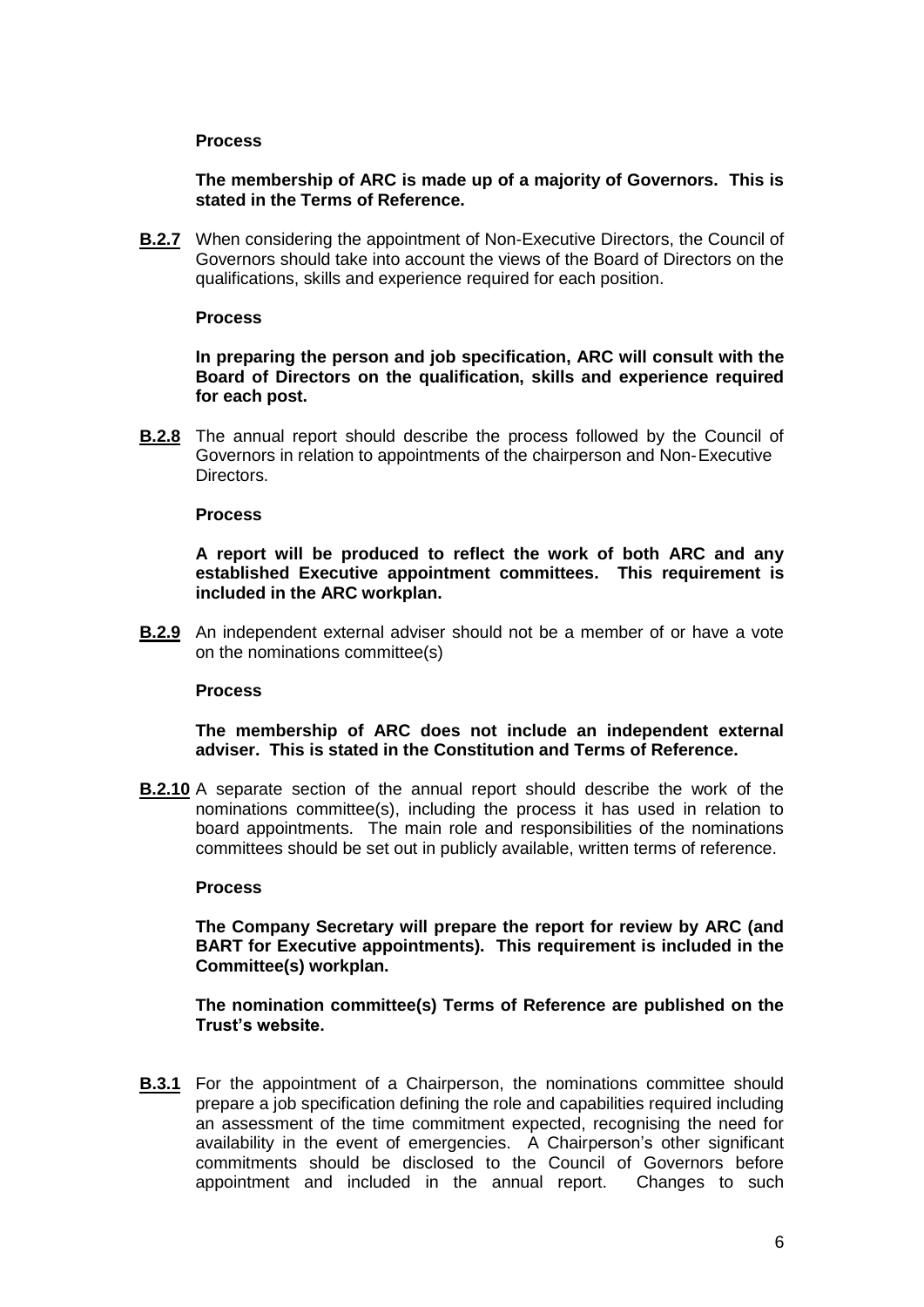# **Process**

# **The membership of ARC is made up of a majority of Governors. This is stated in the Terms of Reference.**

**B.2.7** When considering the appointment of Non-Executive Directors, the Council of Governors should take into account the views of the Board of Directors on the qualifications, skills and experience required for each position.

### **Process**

**In preparing the person and job specification, ARC will consult with the Board of Directors on the qualification, skills and experience required for each post.**

**B.2.8** The annual report should describe the process followed by the Council of Governors in relation to appointments of the chairperson and Non-Executive Directors.

#### **Process**

**A report will be produced to reflect the work of both ARC and any established Executive appointment committees. This requirement is included in the ARC workplan.**

**B.2.9** An independent external adviser should not be a member of or have a vote on the nominations committee(s)

#### **Process**

#### **The membership of ARC does not include an independent external adviser. This is stated in the Constitution and Terms of Reference.**

**B.2.10** A separate section of the annual report should describe the work of the nominations committee(s), including the process it has used in relation to board appointments. The main role and responsibilities of the nominations committees should be set out in publicly available, written terms of reference.

#### **Process**

**The Company Secretary will prepare the report for review by ARC (and BART for Executive appointments). This requirement is included in the Committee(s) workplan.**

#### **The nomination committee(s) Terms of Reference are published on the Trust's website.**

**B.3.1** For the appointment of a Chairperson, the nominations committee should prepare a job specification defining the role and capabilities required including an assessment of the time commitment expected, recognising the need for availability in the event of emergencies. A Chairperson's other significant commitments should be disclosed to the Council of Governors before appointment and included in the annual report. Changes to such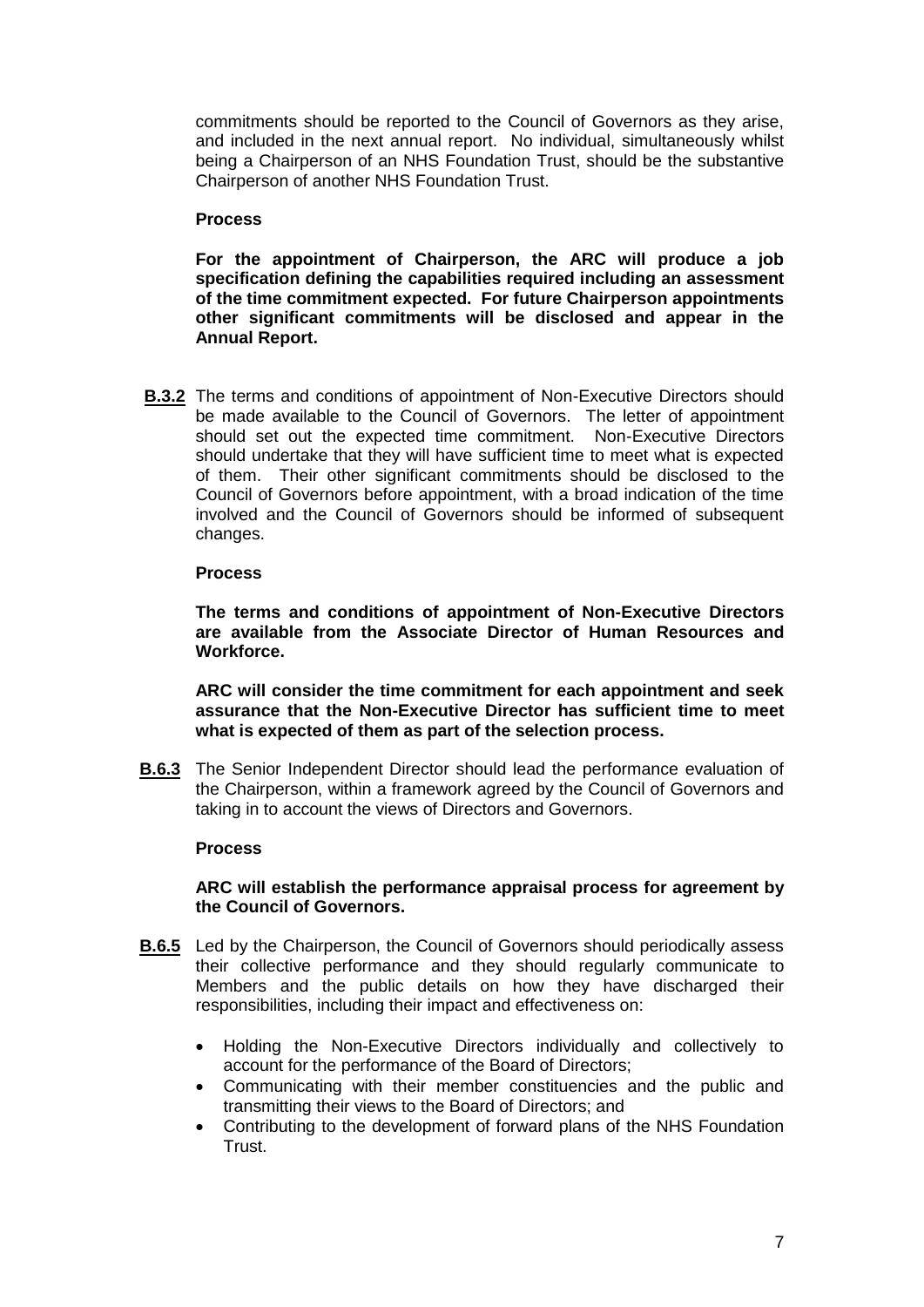commitments should be reported to the Council of Governors as they arise, and included in the next annual report. No individual, simultaneously whilst being a Chairperson of an NHS Foundation Trust, should be the substantive Chairperson of another NHS Foundation Trust.

# **Process**

**For the appointment of Chairperson, the ARC will produce a job specification defining the capabilities required including an assessment of the time commitment expected. For future Chairperson appointments other significant commitments will be disclosed and appear in the Annual Report.**

**B.3.2** The terms and conditions of appointment of Non-Executive Directors should be made available to the Council of Governors. The letter of appointment should set out the expected time commitment. Non-Executive Directors should undertake that they will have sufficient time to meet what is expected of them. Their other significant commitments should be disclosed to the Council of Governors before appointment, with a broad indication of the time involved and the Council of Governors should be informed of subsequent changes.

#### **Process**

**The terms and conditions of appointment of Non-Executive Directors are available from the Associate Director of Human Resources and Workforce.**

**ARC will consider the time commitment for each appointment and seek assurance that the Non-Executive Director has sufficient time to meet what is expected of them as part of the selection process.**

**B.6.3** The Senior Independent Director should lead the performance evaluation of the Chairperson, within a framework agreed by the Council of Governors and taking in to account the views of Directors and Governors.

# **Process**

#### **ARC will establish the performance appraisal process for agreement by the Council of Governors.**

- **B.6.5** Led by the Chairperson, the Council of Governors should periodically assess their collective performance and they should regularly communicate to Members and the public details on how they have discharged their responsibilities, including their impact and effectiveness on:
	- Holding the Non-Executive Directors individually and collectively to account for the performance of the Board of Directors;
	- Communicating with their member constituencies and the public and transmitting their views to the Board of Directors; and
	- Contributing to the development of forward plans of the NHS Foundation Trust.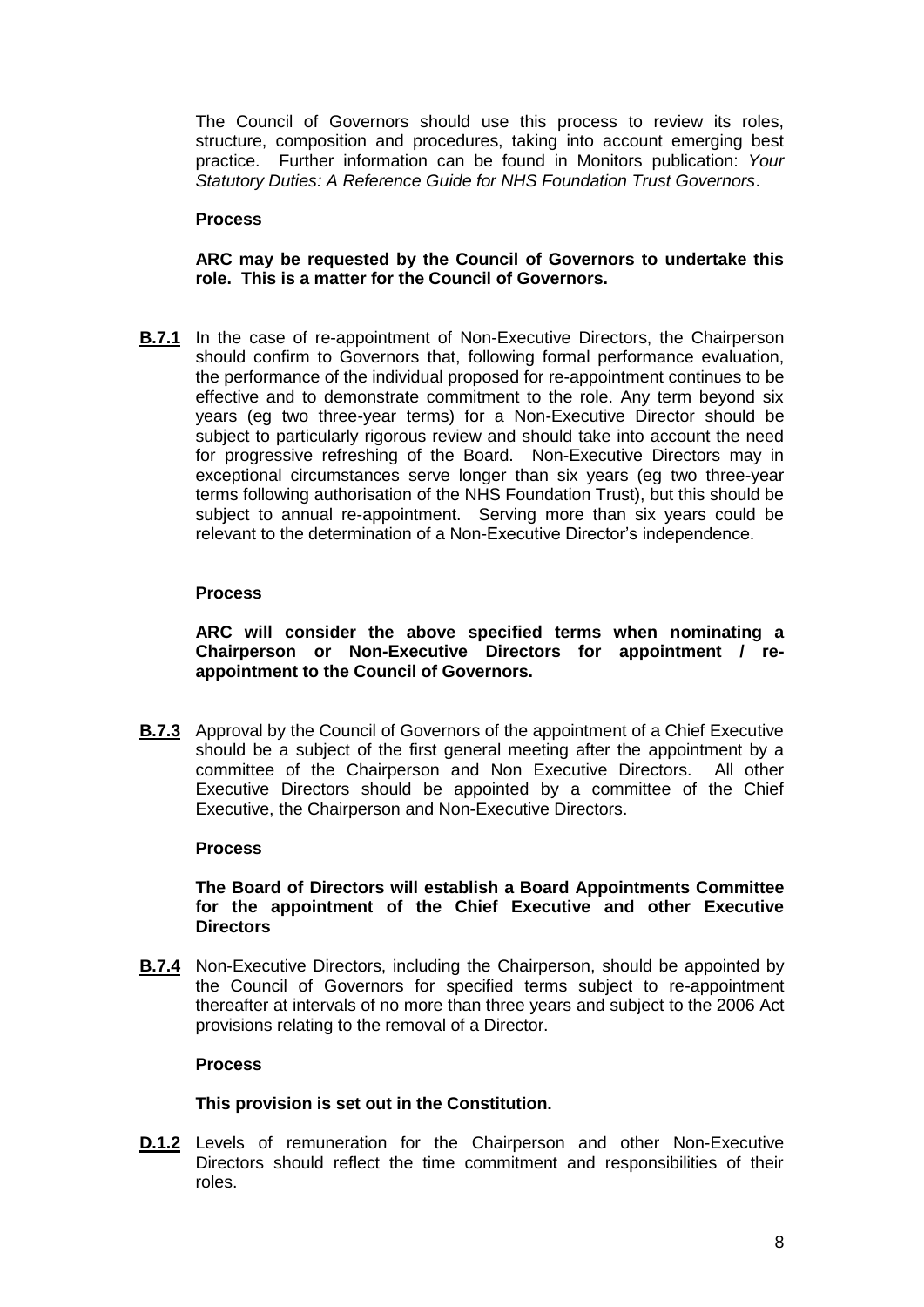The Council of Governors should use this process to review its roles, structure, composition and procedures, taking into account emerging best practice. Further information can be found in Monitors publication: *Your Statutory Duties: A Reference Guide for NHS Foundation Trust Governors*.

#### **Process**

#### **ARC may be requested by the Council of Governors to undertake this role. This is a matter for the Council of Governors.**

**B.7.1** In the case of re-appointment of Non-Executive Directors, the Chairperson should confirm to Governors that, following formal performance evaluation, the performance of the individual proposed for re-appointment continues to be effective and to demonstrate commitment to the role. Any term beyond six years (eg two three-year terms) for a Non-Executive Director should be subject to particularly rigorous review and should take into account the need for progressive refreshing of the Board. Non-Executive Directors may in exceptional circumstances serve longer than six years (eg two three-year terms following authorisation of the NHS Foundation Trust), but this should be subject to annual re-appointment. Serving more than six years could be relevant to the determination of a Non-Executive Director's independence.

#### **Process**

**ARC will consider the above specified terms when nominating a Chairperson or Non-Executive Directors for appointment / reappointment to the Council of Governors.**

**B.7.3** Approval by the Council of Governors of the appointment of a Chief Executive should be a subject of the first general meeting after the appointment by a committee of the Chairperson and Non Executive Directors. All other Executive Directors should be appointed by a committee of the Chief Executive, the Chairperson and Non-Executive Directors.

# **Process**

#### **The Board of Directors will establish a Board Appointments Committee for the appointment of the Chief Executive and other Executive Directors**

**B.7.4** Non-Executive Directors, including the Chairperson, should be appointed by the Council of Governors for specified terms subject to re-appointment thereafter at intervals of no more than three years and subject to the 2006 Act provisions relating to the removal of a Director.

# **Process**

# **This provision is set out in the Constitution.**

**D.1.2** Levels of remuneration for the Chairperson and other Non-Executive Directors should reflect the time commitment and responsibilities of their roles.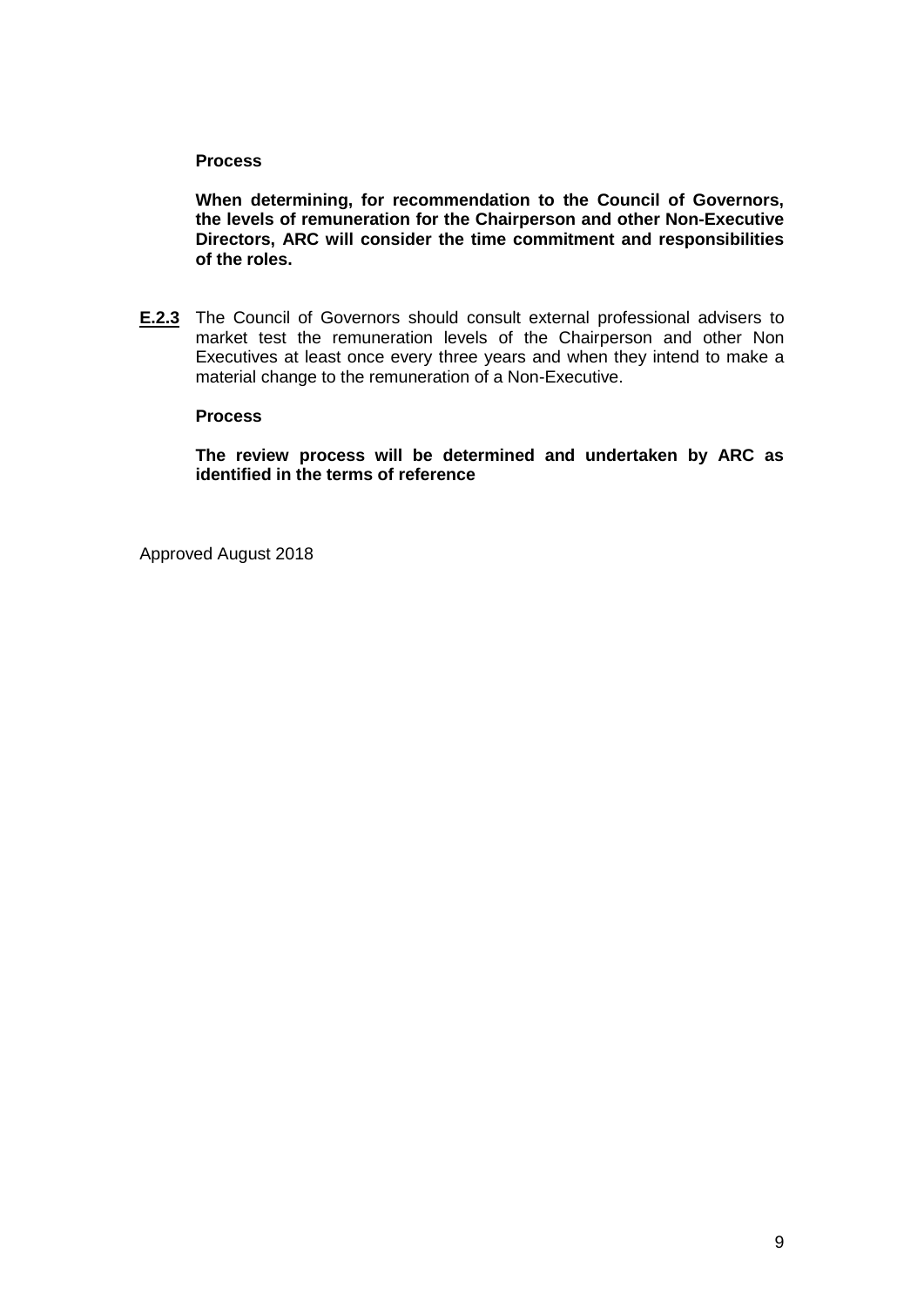#### **Process**

**When determining, for recommendation to the Council of Governors, the levels of remuneration for the Chairperson and other Non-Executive Directors, ARC will consider the time commitment and responsibilities of the roles.**

**E.2.3** The Council of Governors should consult external professional advisers to market test the remuneration levels of the Chairperson and other Non Executives at least once every three years and when they intend to make a material change to the remuneration of a Non-Executive.

#### **Process**

**The review process will be determined and undertaken by ARC as identified in the terms of reference**

Approved August 2018